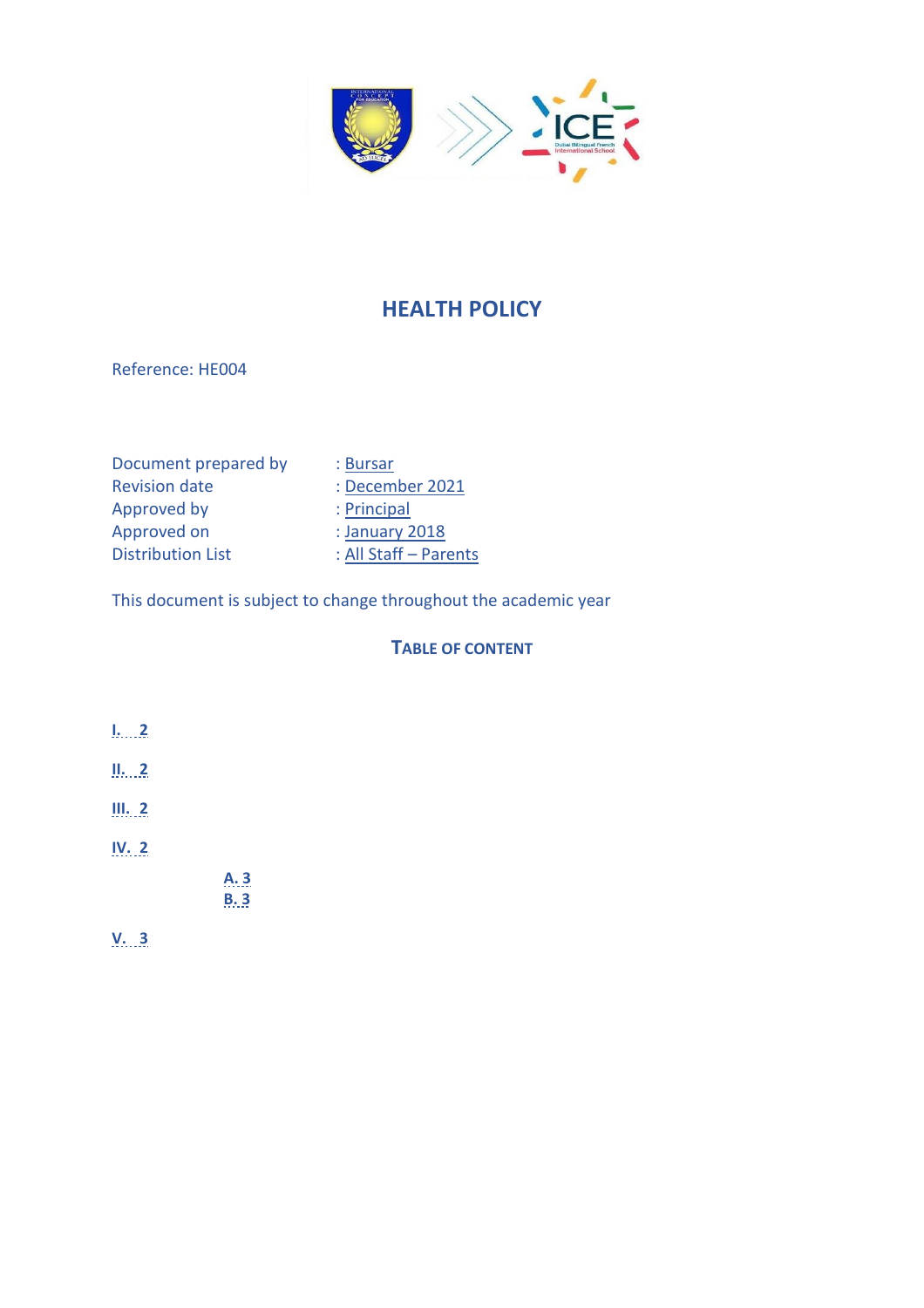

# **HEALTH POLICY**

Reference: HE004

| Document prepared by     | : Bursar              |
|--------------------------|-----------------------|
| <b>Revision date</b>     | : December 2021       |
| Approved by              | : Principal           |
| Approved on              | : January 2018        |
| <b>Distribution List</b> | : All Staff - Parents |

This document is subject to change throughout the academic year

## **TABLE OF CONTENT**

- **[I.](#page-1-0) [2](#page-1-0)**
- **[II.](#page-1-1) [2](#page-1-1)**
- **[III.](#page-1-2) 2**
- **[IV.](#page-1-3) 2**

**[A.](#page-2-0) 3 [B.](#page-2-1) 3**

**[V.](#page-2-2) 3**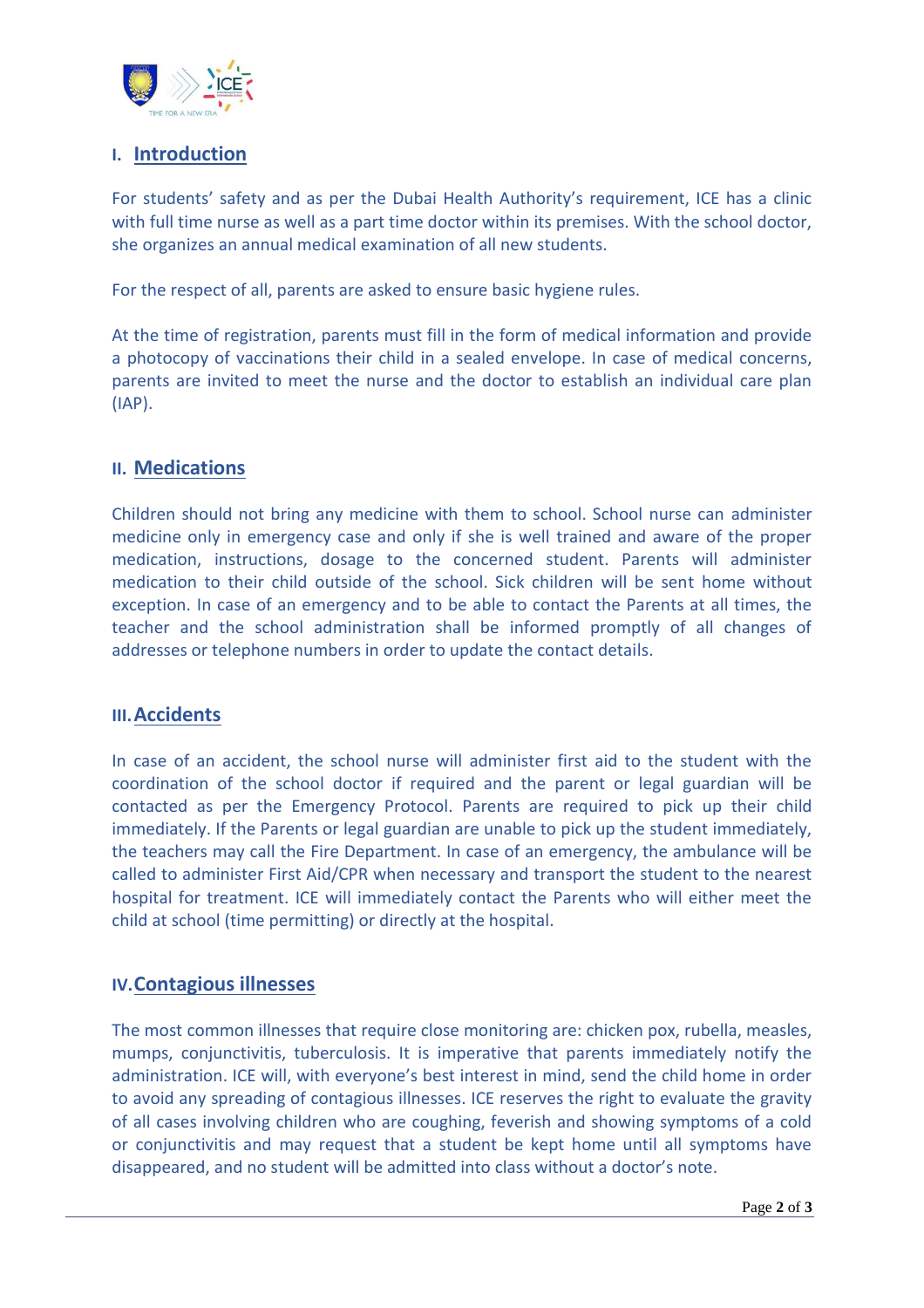

## <span id="page-1-0"></span>**I. Introduction**

For students' safety and as per the Dubai Health Authority's requirement, ICE has a clinic with full time nurse as well as a part time doctor within its premises. With the school doctor, she organizes an annual medical examination of all new students.

For the respect of all, parents are asked to ensure basic hygiene rules.

At the time of registration, parents must fill in the form of medical information and provide a photocopy of vaccinations their child in a sealed envelope. In case of medical concerns, parents are invited to meet the nurse and the doctor to establish an individual care plan (IAP).

### <span id="page-1-1"></span>**II. Medications**

Children should not bring any medicine with them to school. School nurse can administer medicine only in emergency case and only if she is well trained and aware of the proper medication, instructions, dosage to the concerned student. Parents will administer medication to their child outside of the school. Sick children will be sent home without exception. In case of an emergency and to be able to contact the Parents at all times, the teacher and the school administration shall be informed promptly of all changes of addresses or telephone numbers in order to update the contact details.

#### <span id="page-1-2"></span>**III.Accidents**

In case of an accident, the school nurse will administer first aid to the student with the coordination of the school doctor if required and the parent or legal guardian will be contacted as per the Emergency Protocol. Parents are required to pick up their child immediately. If the Parents or legal guardian are unable to pick up the student immediately, the teachers may call the Fire Department. In case of an emergency, the ambulance will be called to administer First Aid/CPR when necessary and transport the student to the nearest hospital for treatment. ICE will immediately contact the Parents who will either meet the child at school (time permitting) or directly at the hospital.

#### <span id="page-1-3"></span>**IV.Contagious illnesses**

The most common illnesses that require close monitoring are: chicken pox, rubella, measles, mumps, conjunctivitis, tuberculosis. It is imperative that parents immediately notify the administration. ICE will, with everyone's best interest in mind, send the child home in order to avoid any spreading of contagious illnesses. ICE reserves the right to evaluate the gravity of all cases involving children who are coughing, feverish and showing symptoms of a cold or conjunctivitis and may request that a student be kept home until all symptoms have disappeared, and no student will be admitted into class without a doctor's note.